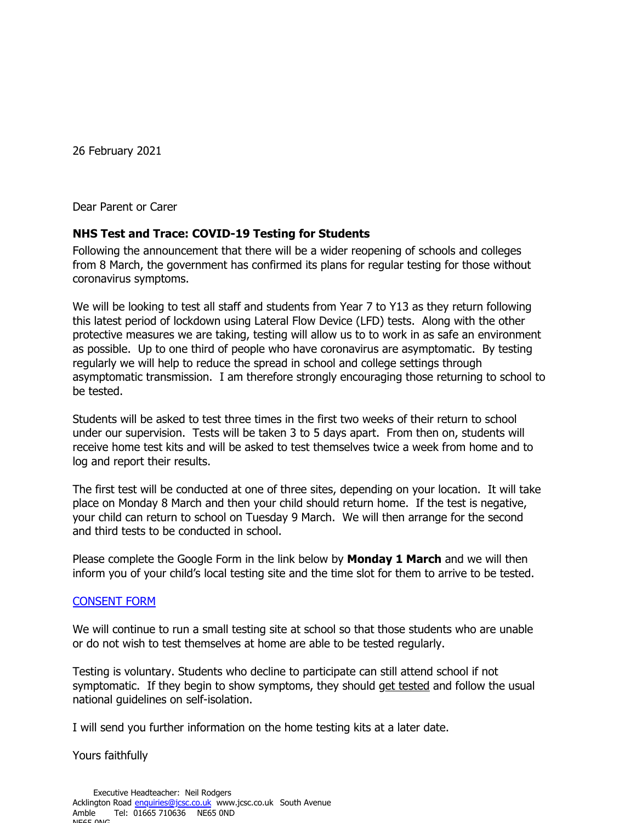26 February 2021

Dear Parent or Carer

## **NHS Test and Trace: COVID-19 Testing for Students**

Following the announcement that there will be a wider reopening of schools and colleges from 8 March, the government has confirmed its plans for regular testing for those without coronavirus symptoms.

We will be looking to test all staff and students from Year 7 to Y13 as they return following this latest period of lockdown using Lateral Flow Device (LFD) tests. Along with the other protective measures we are taking, testing will allow us to to work in as safe an environment as possible. Up to one third of people who have coronavirus are asymptomatic. By testing regularly we will help to reduce the spread in school and college settings through asymptomatic transmission. I am therefore strongly encouraging those returning to school to be tested.

Students will be asked to test three times in the first two weeks of their return to school under our supervision. Tests will be taken 3 to 5 days apart. From then on, students will receive home test kits and will be asked to test themselves twice a week from home and to log and report their results.

The first test will be conducted at one of three sites, depending on your location. It will take place on Monday 8 March and then your child should return home. If the test is negative, your child can return to school on Tuesday 9 March. We will then arrange for the second and third tests to be conducted in school.

Please complete the Google Form in the link below by **Monday 1 March** and we will then inform you of your child's local testing site and the time slot for them to arrive to be tested.

## [CONSENT](https://docs.google.com/forms/d/1mIIl54ReHOhhlQDb-HevLL0J1tfH3pPlXVqvhohrfTM/edit) FORM

We will continue to run a small testing site at school so that those students who are unable or do not wish to test themselves at home are able to be tested regularly.

Testing is voluntary. Students who decline to participate can still attend school if not symptomatic. If they begin to show symptoms, they should get [tested](https://www.gov.uk/get-coronavirus-test) and follow the usual national guidelines on self-isolation.

I will send you further information on the home testing kits at a later date.

Yours faithfully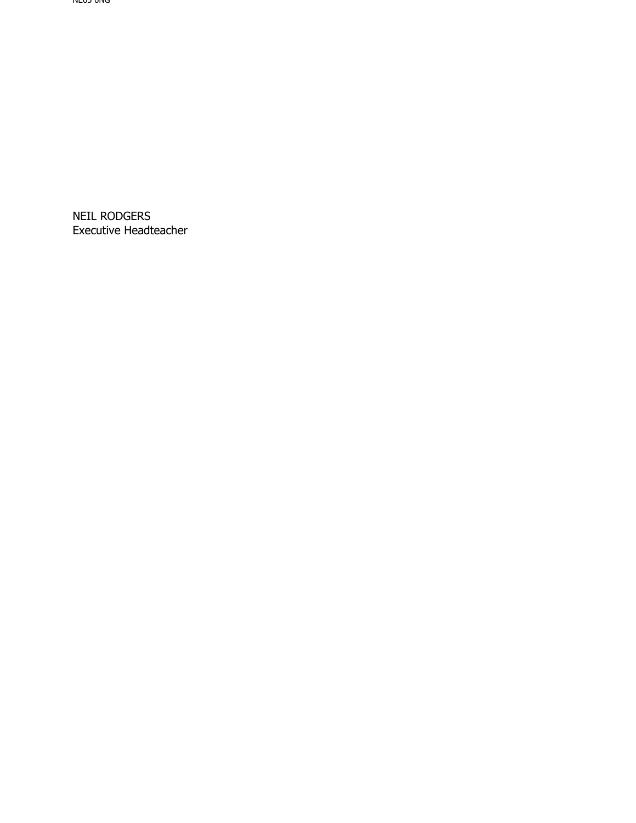NEIL RODGERS Executive Headteacher